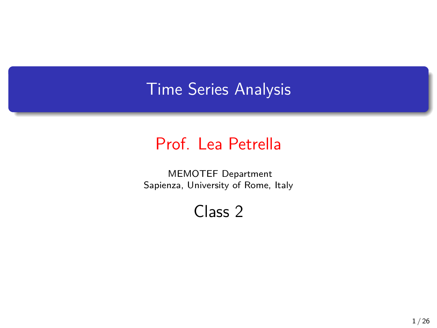## Time Series Analysis

## Prof. Lea Petrella

MEMOTEF Department Sapienza, University of Rome, Italy

Class 2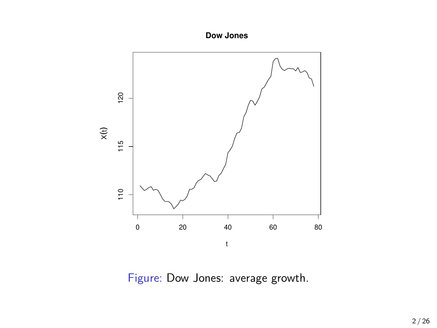**Dow Jones**



Figure: Dow Jones: average growth.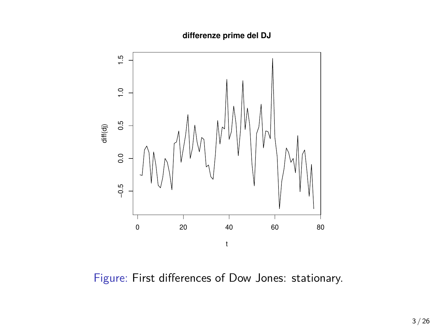**differenze prime del DJ**



Figure: First differences of Dow Jones: stationary.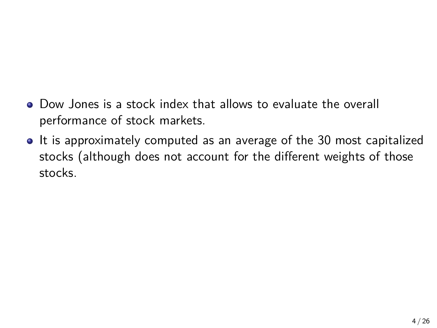- Dow Jones is a stock index that allows to evaluate the overall performance of stock markets.
- It is approximately computed as an average of the 30 most capitalized stocks (although does not account for the different weights of those stocks.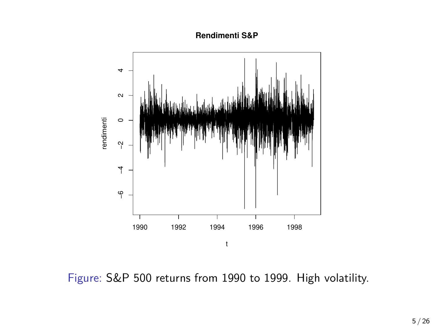**Rendimenti S&P**



Figure: S&P 500 returns from 1990 to 1999. High volatility.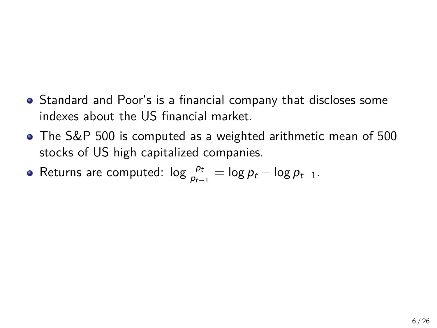- Standard and Poor's is a financial company that discloses some indexes about the US financial market.
- The S&P 500 is computed as a weighted arithmetic mean of 500 stocks of US high capitalized companies.
- Returns are computed:  $\log \frac{p_t}{p_{t-1}} = \log p_t \log p_{t-1}.$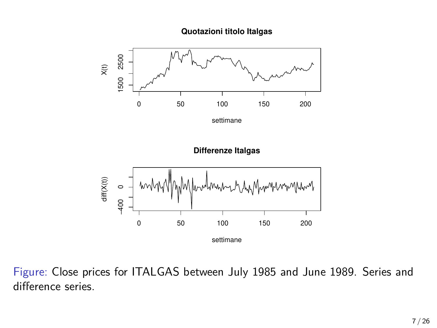**Quotazioni titolo Italgas**



Figure: Close prices for ITALGAS between July 1985 and June 1989. Series and difference series.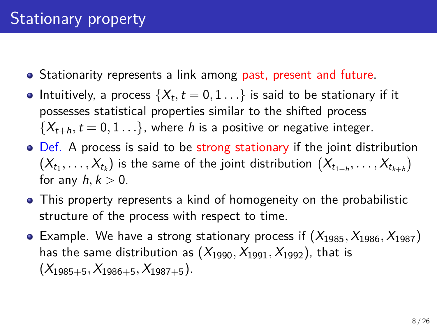- Stationarity represents a link among past, present and future.
- Intuitively, a process  $\{X_t, t=0,1\ldots\}$  is said to be stationary if it possesses statistical properties similar to the shifted process  ${X_{t+h}, t = 0, 1...}$ , where *h* is a positive or negative integer.
- Def. A process is said to be strong stationary if the joint distribution  $(X_{t_1},\ldots,X_{t_k})$  is the same of the joint distribution  $(X_{t_{1+h}},\ldots,X_{t_{k+h}})$ for any *h, k >* 0.
- This property represents a kind of homogeneity on the probabilistic structure of the process with respect to time.
- Example. We have a strong stationary process if (*X*1985*, X*1986*, X*1987) has the same distribution as  $(X_{1990}, X_{1991}, X_{1992})$ , that is  $(X_{1985+5}, X_{1986+5}, X_{1987+5})$ .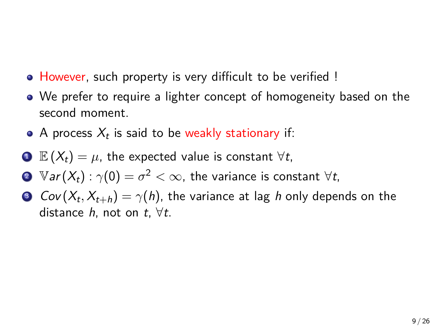- However, such property is very difficult to be verified !
- We prefer to require a lighter concept of homogeneity based on the second moment.
- A process  $X_t$  is said to be weakly stationary if:
- $\bullet$  **E** ( $X_t$ ) =  $\mu$ , the expected value is constant  $\forall t$ ,
- $2$   $\mathbb{V}$ *ar* $(X_t)$  :  $\gamma(0) = \sigma^2 < \infty$ , the variance is constant  $\forall t,$
- 3  $Cov(X_t, X_{t+h}) = \gamma(h)$ , the variance at lag  $h$  only depends on the distance *h*, not on *t*, *∀t*.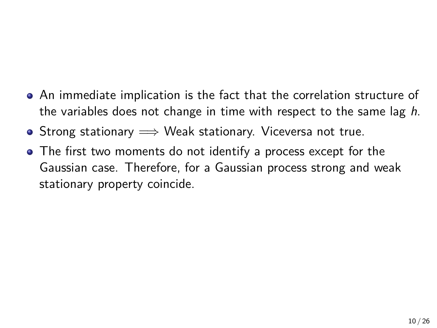- An immediate implication is the fact that the correlation structure of the variables does not change in time with respect to the same lag *h*.
- Strong stationary =*⇒* Weak stationary. Viceversa not true.
- The first two moments do not identify a process except for the Gaussian case. Therefore, for a Gaussian process strong and weak stationary property coincide.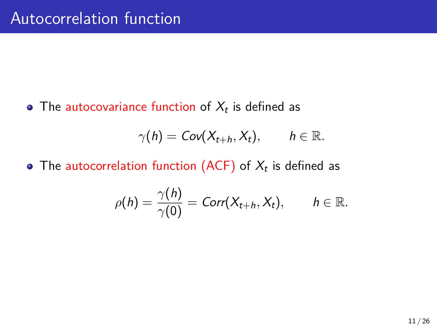The  $\overline{\mathsf{autocovariance}}$  function of  $X_t$  is defined as

$$
\gamma(h) = Cov(X_{t+h}, X_t), \qquad h \in \mathbb{R}.
$$

The autocorrelation function (ACF) of  $X_t$  is defined as

$$
\rho(h) = \frac{\gamma(h)}{\gamma(0)} = \text{Corr}(X_{t+h}, X_t), \qquad h \in \mathbb{R}.
$$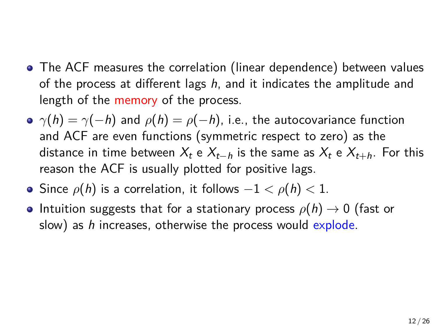- The ACF measures the correlation (linear dependence) between values of the process at different lags *h*, and it indicates the amplitude and length of the memory of the process.
- $\rho$   $\gamma(h) = \gamma(-h)$  and  $\rho(h) = \rho(-h)$ , i.e., the autocovariance function and ACF are even functions (symmetric respect to zero) as the distance in time between  $X_t$  e  $X_{t-h}$  is the same as  $X_t$  e  $X_{t+h}$ . For this reason the ACF is usually plotted for positive lags.
- Since *ρ*(*h*) is a correlation, it follows *−*1 *< ρ*(*h*) *<* 1.
- **•** Intuition suggests that for a stationary process  $\rho(h) \rightarrow 0$  (fast or slow) as *h* increases, otherwise the process would explode.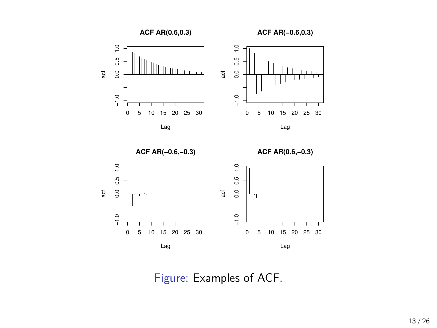

**ACF AR(−0.6,−0.3)**

**ACF AR(0.6,−0.3)**



Figure: Examples of ACF.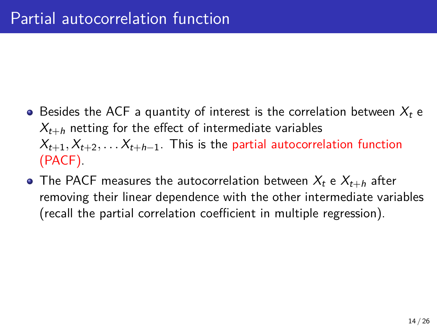- $\bullet$  Besides the ACF a quantity of interest is the correlation between  $X_t$  e  $X_{t+h}$  netting for the effect of intermediate variables  $X_{t+1}, X_{t+2}, \ldots, X_{t+h-1}$ . This is the partial autocorrelation function (PACF).
- The PACF measures the autocorrelation between  $X_t$  e  $X_{t+h}$  after removing their linear dependence with the other intermediate variables (recall the partial correlation coefficient in multiple regression).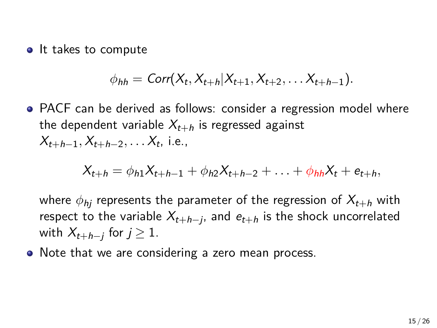• It takes to compute

$$
\phi_{hh} = \text{Corr}(X_t, X_{t+h}|X_{t+1}, X_{t+2}, \ldots X_{t+h-1}).
$$

PACF can be derived as follows: consider a regression model where the dependent variable  $X_{t+h}$  is regressed against *Xt*+*h−*1*, Xt*+*h−*2*, . . . X<sup>t</sup>* , i.e.,

$$
X_{t+h} = \phi_{h1}X_{t+h-1} + \phi_{h2}X_{t+h-2} + \ldots + \phi_{hh}X_t + e_{t+h},
$$

where  $\phi_{hi}$  represents the parameter of the regression of  $X_{t+h}$  with respect to the variable *Xt*+*h−<sup>j</sup>* , and *et*+*<sup>h</sup>* is the shock uncorrelated  $x_{t+h-j}$  for  $j ≥ 1$ .

• Note that we are considering a zero mean process.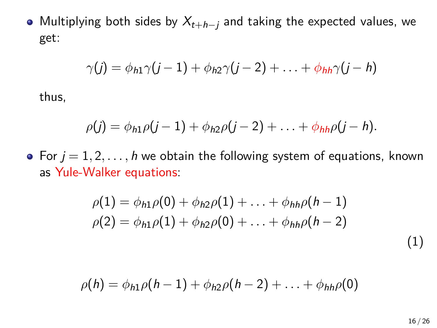Multiplying both sides by *Xt*+*h−<sup>j</sup>* and taking the expected values, we get:

$$
\gamma(j) = \phi_{h1}\gamma(j-1) + \phi_{h2}\gamma(j-2) + \ldots + \phi_{hh}\gamma(j-h)
$$

thus,

$$
\rho(j)=\phi_{h1}\rho(j-1)+\phi_{h2}\rho(j-2)+\ldots+\phi_{hh}\rho(j-h).
$$

• For  $j = 1, 2, \ldots, h$  we obtain the following system of equations, known as Yule-Walker equations:

$$
\rho(1) = \phi_{h1}\rho(0) + \phi_{h2}\rho(1) + \ldots + \phi_{hh}\rho(h-1) \n\rho(2) = \phi_{h1}\rho(1) + \phi_{h2}\rho(0) + \ldots + \phi_{hh}\rho(h-2)
$$
\n(1)

$$
\rho(h) = \phi_{h1}\rho(h-1) + \phi_{h2}\rho(h-2) + \ldots + \phi_{hh}\rho(0)
$$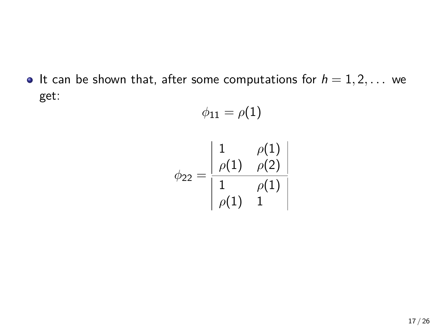$\bullet$  It can be shown that, after some computations for  $h = 1, 2, \ldots$  we get:

$$
\phi_{11} = \rho(1)
$$

$$
\phi_{22} = \frac{\begin{vmatrix} 1 & \rho(1) \\ \rho(1) & \rho(2) \\ 1 & \rho(1) \end{vmatrix}}{\begin{vmatrix} 1 & \rho(1) \\ \rho(1) & 1 \end{vmatrix}}
$$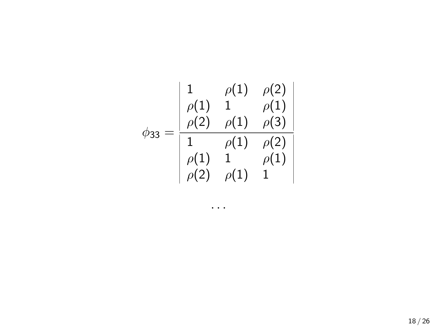$$
\phi_{33} = \frac{\begin{vmatrix} 1 & \rho(1) & \rho(2) \\ \rho(1) & 1 & \rho(1) \\ \rho(2) & \rho(1) & \rho(3) \\ 1 & \rho(1) & \rho(2) \\ \rho(1) & 1 & \rho(1) \\ \rho(2) & \rho(1) & 1 \end{vmatrix}}{\begin{vmatrix} 1 & \rho(1) & \rho(2) \\ \rho(2) & \rho(1) & 1 \end{vmatrix}}
$$

*. . .*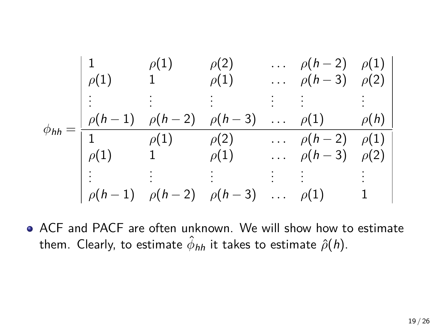$$
\phi_{hh} = \frac{\begin{vmatrix} 1 & \rho(1) & \rho(2) & \dots & \rho(h-2) & \rho(1) \\ \rho(1) & 1 & \rho(1) & \dots & \rho(h-3) & \rho(2) \\ \vdots & \vdots & \vdots & \vdots & \vdots & \vdots \\ \rho(h-1) & \rho(h-2) & \rho(h-3) & \dots & \rho(1) & \rho(h) \\ 1 & \rho(1) & \rho(2) & \dots & \rho(h-2) & \rho(1) \\ \rho(1) & 1 & \rho(1) & \dots & \rho(h-3) & \rho(2) \\ \vdots & \vdots & \vdots & \vdots & \vdots & \vdots \\ \rho(h-1) & \rho(h-2) & \rho(h-3) & \dots & \rho(1) & 1 \end{vmatrix}}
$$

ACF and PACF are often unknown. We will show how to estimate them. Clearly, to estimate *ϕ*ˆ *hh* it takes to estimate *ρ*ˆ(*h*).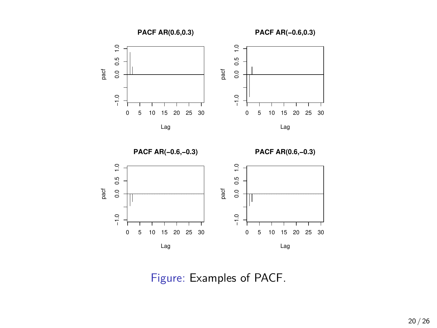



Figure: Examples of PACF.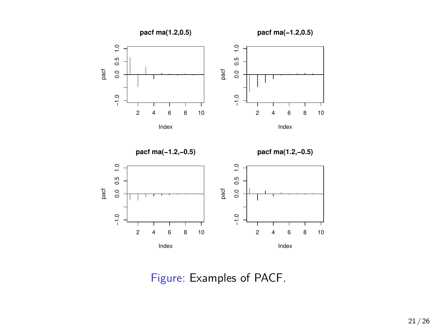

Figure: Examples of PACF.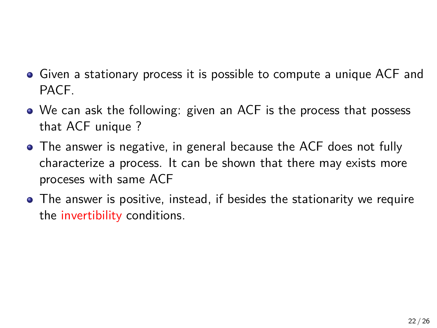- Given a stationary process it is possible to compute a unique ACF and PACF.
- We can ask the following: given an ACF is the process that possess that ACF unique ?
- The answer is negative, in general because the ACF does not fully characterize a process. It can be shown that there may exists more proceses with same ACF
- The answer is positive, instead, if besides the stationarity we require the invertibility conditions.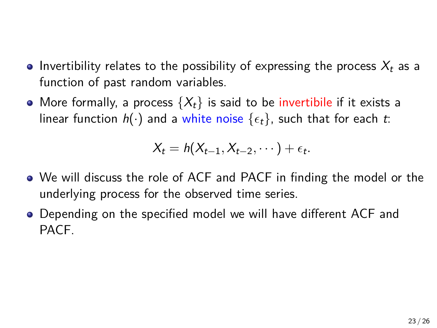- $\bullet$  Invertibility relates to the possibility of expressing the process  $X_t$  as a function of past random variables.
- More formally, a process  $\{X_t\}$  is said to be invertibile if it exists a linear function  $h(\cdot)$  and a white noise  $\{\epsilon_t\}$ , such that for each *t*:

$$
X_t = h(X_{t-1}, X_{t-2}, \cdots) + \epsilon_t.
$$

- We will discuss the role of ACF and PACF in finding the model or the underlying process for the observed time series.
- Depending on the specified model we will have different ACF and PACF.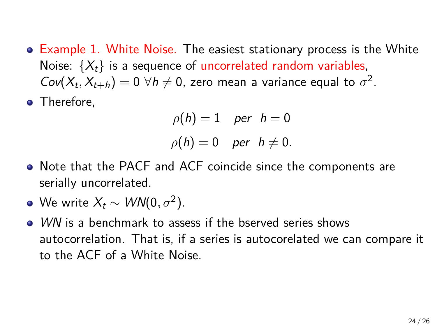- **Example 1. White Noise. The easiest stationary process is the White** Noise:  $\{X_t\}$  is a sequence of uncorrelated random variables,  $Cov(X_t, X_{t+h}) = 0 \ \forall h \neq 0$ , zero mean a variance equal to  $\sigma^2$ .
- Therefore,

$$
\rho(h) = 1 \quad \text{per} \quad h = 0
$$
  

$$
\rho(h) = 0 \quad \text{per} \quad h \neq 0.
$$

- Note that the PACF and ACF coincide since the components are serially uncorrelated.
- We write  $X_t \sim \textit{WN}(0, \sigma^2)$ .
- *WN* is a benchmark to assess if the bserved series shows autocorrelation. That is, if a series is autocorelated we can compare it to the ACF of a White Noise.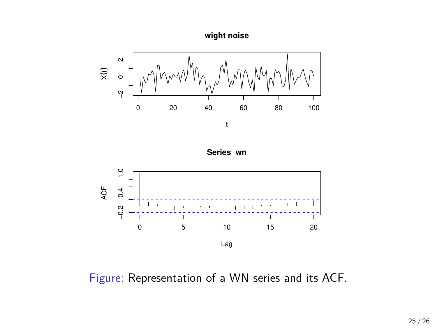







Figure: Representation of a WN series and its ACF.